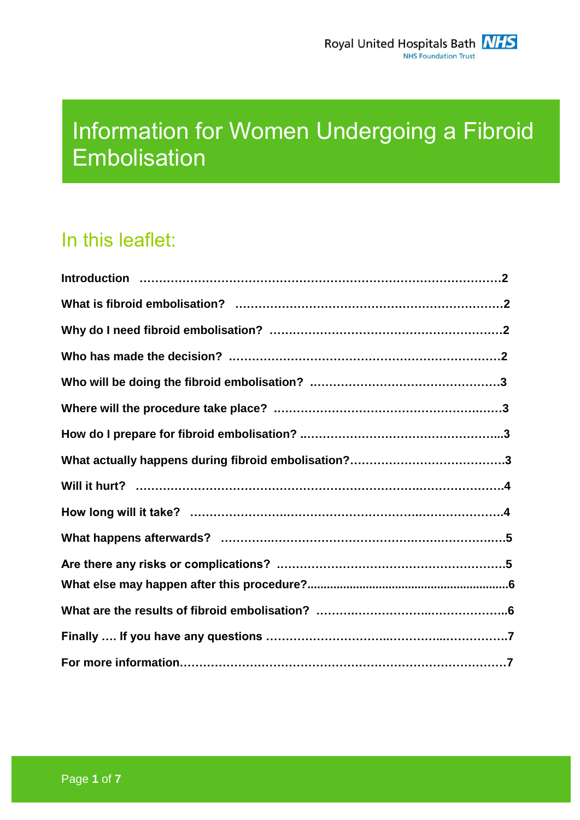# Information for Women Undergoing a Fibroid **Embolisation**

# In this leaflet: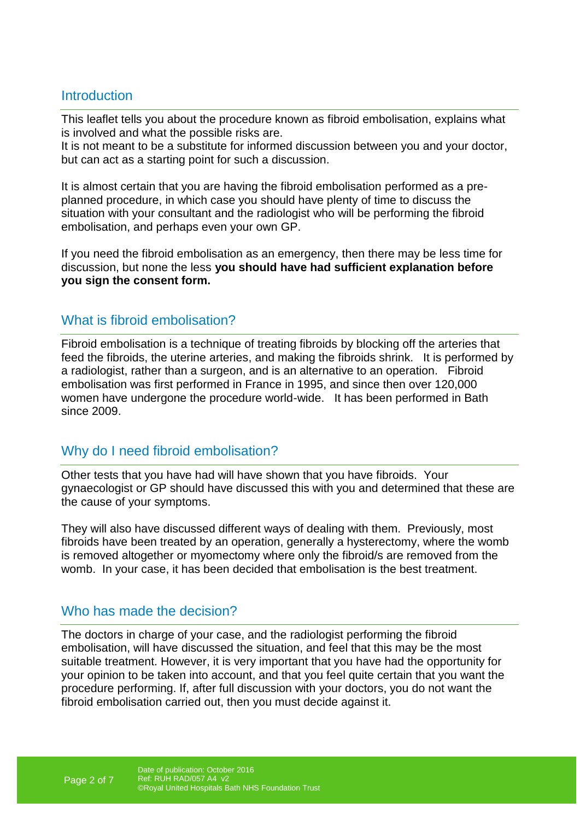#### **Introduction**

This leaflet tells you about the procedure known as fibroid embolisation, explains what is involved and what the possible risks are.

It is not meant to be a substitute for informed discussion between you and your doctor, but can act as a starting point for such a discussion.

It is almost certain that you are having the fibroid embolisation performed as a preplanned procedure, in which case you should have plenty of time to discuss the situation with your consultant and the radiologist who will be performing the fibroid embolisation, and perhaps even your own GP.

If you need the fibroid embolisation as an emergency, then there may be less time for discussion, but none the less **you should have had sufficient explanation before you sign the consent form.**

#### What is fibroid embolisation?

Fibroid embolisation is a technique of treating fibroids by blocking off the arteries that feed the fibroids, the uterine arteries, and making the fibroids shrink. It is performed by a radiologist, rather than a surgeon, and is an alternative to an operation. Fibroid embolisation was first performed in France in 1995, and since then over 120,000 women have undergone the procedure world-wide. It has been performed in Bath since 2009.

#### Why do I need fibroid embolisation?

Other tests that you have had will have shown that you have fibroids. Your gynaecologist or GP should have discussed this with you and determined that these are the cause of your symptoms.

They will also have discussed different ways of dealing with them. Previously, most fibroids have been treated by an operation, generally a hysterectomy, where the womb is removed altogether or myomectomy where only the fibroid/s are removed from the womb. In your case, it has been decided that embolisation is the best treatment.

#### Who has made the decision?

The doctors in charge of your case, and the radiologist performing the fibroid embolisation, will have discussed the situation, and feel that this may be the most suitable treatment. However, it is very important that you have had the opportunity for your opinion to be taken into account, and that you feel quite certain that you want the procedure performing. If, after full discussion with your doctors, you do not want the fibroid embolisation carried out, then you must decide against it.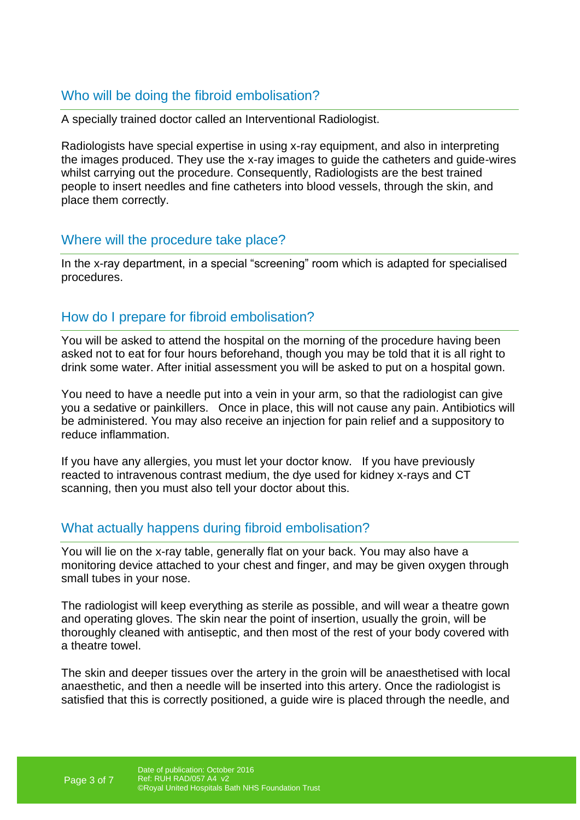## Who will be doing the fibroid embolisation?

A specially trained doctor called an Interventional Radiologist.

Radiologists have special expertise in using x-ray equipment, and also in interpreting the images produced. They use the x-ray images to guide the catheters and guide-wires whilst carrying out the procedure. Consequently, Radiologists are the best trained people to insert needles and fine catheters into blood vessels, through the skin, and place them correctly.

#### Where will the procedure take place?

In the x-ray department, in a special "screening" room which is adapted for specialised procedures.

#### How do I prepare for fibroid embolisation?

You will be asked to attend the hospital on the morning of the procedure having been asked not to eat for four hours beforehand, though you may be told that it is all right to drink some water. After initial assessment you will be asked to put on a hospital gown.

You need to have a needle put into a vein in your arm, so that the radiologist can give you a sedative or painkillers. Once in place, this will not cause any pain. Antibiotics will be administered. You may also receive an injection for pain relief and a suppository to reduce inflammation.

If you have any allergies, you must let your doctor know. If you have previously reacted to intravenous contrast medium, the dye used for kidney x-rays and CT scanning, then you must also tell your doctor about this.

#### What actually happens during fibroid embolisation?

You will lie on the x-ray table, generally flat on your back. You may also have a monitoring device attached to your chest and finger, and may be given oxygen through small tubes in your nose.

The radiologist will keep everything as sterile as possible, and will wear a theatre gown and operating gloves. The skin near the point of insertion, usually the groin, will be thoroughly cleaned with antiseptic, and then most of the rest of your body covered with a theatre towel.

The skin and deeper tissues over the artery in the groin will be anaesthetised with local anaesthetic, and then a needle will be inserted into this artery. Once the radiologist is satisfied that this is correctly positioned, a guide wire is placed through the needle, and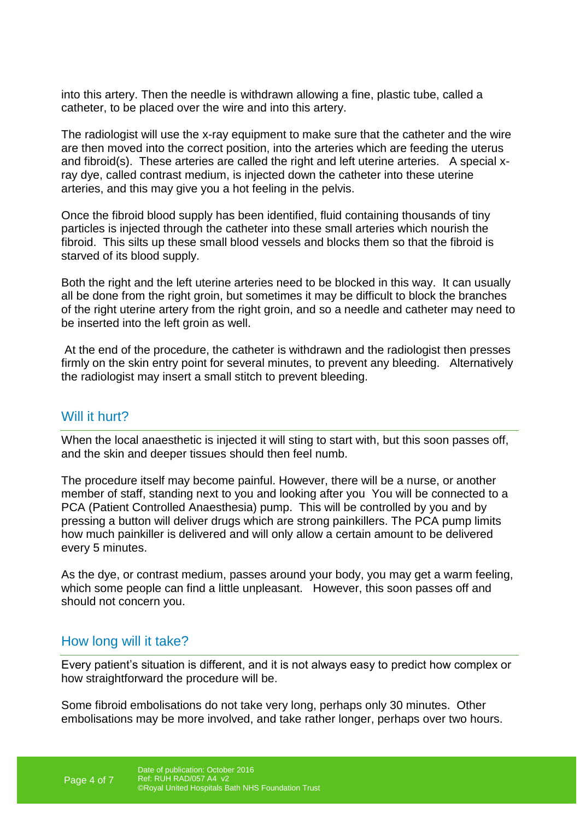into this artery. Then the needle is withdrawn allowing a fine, plastic tube, called a catheter, to be placed over the wire and into this artery.

The radiologist will use the x-ray equipment to make sure that the catheter and the wire are then moved into the correct position, into the arteries which are feeding the uterus and fibroid(s). These arteries are called the right and left uterine arteries. A special xray dye, called contrast medium, is injected down the catheter into these uterine arteries, and this may give you a hot feeling in the pelvis.

Once the fibroid blood supply has been identified, fluid containing thousands of tiny particles is injected through the catheter into these small arteries which nourish the fibroid. This silts up these small blood vessels and blocks them so that the fibroid is starved of its blood supply.

Both the right and the left uterine arteries need to be blocked in this way. It can usually all be done from the right groin, but sometimes it may be difficult to block the branches of the right uterine artery from the right groin, and so a needle and catheter may need to be inserted into the left groin as well.

At the end of the procedure, the catheter is withdrawn and the radiologist then presses firmly on the skin entry point for several minutes, to prevent any bleeding. Alternatively the radiologist may insert a small stitch to prevent bleeding.

#### Will it hurt?

When the local anaesthetic is injected it will sting to start with, but this soon passes off, and the skin and deeper tissues should then feel numb.

The procedure itself may become painful. However, there will be a nurse, or another member of staff, standing next to you and looking after you You will be connected to a PCA (Patient Controlled Anaesthesia) pump. This will be controlled by you and by pressing a button will deliver drugs which are strong painkillers. The PCA pump limits how much painkiller is delivered and will only allow a certain amount to be delivered every 5 minutes.

As the dye, or contrast medium, passes around your body, you may get a warm feeling, which some people can find a little unpleasant. However, this soon passes off and should not concern you.

#### How long will it take?

Every patient's situation is different, and it is not always easy to predict how complex or how straightforward the procedure will be.

Some fibroid embolisations do not take very long, perhaps only 30 minutes. Other embolisations may be more involved, and take rather longer, perhaps over two hours.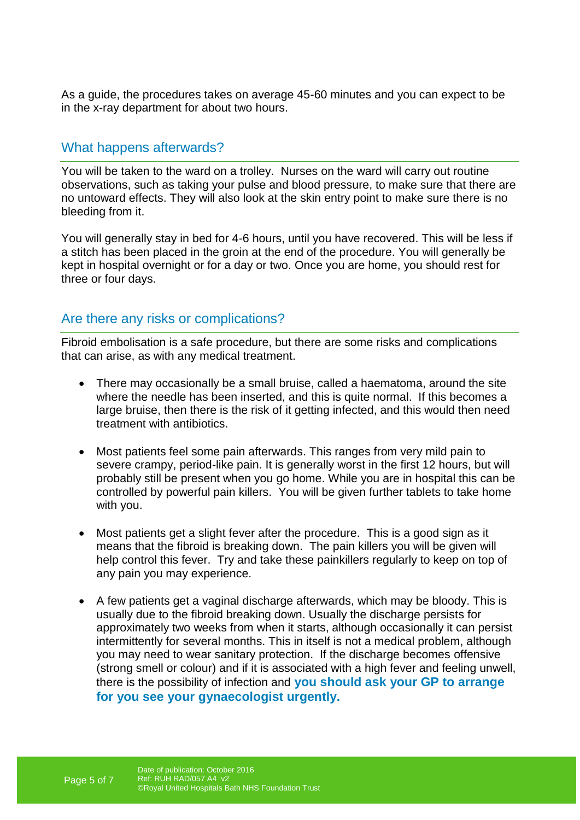As a guide, the procedures takes on average 45-60 minutes and you can expect to be in the x-ray department for about two hours.

#### What happens afterwards?

You will be taken to the ward on a trolley. Nurses on the ward will carry out routine observations, such as taking your pulse and blood pressure, to make sure that there are no untoward effects. They will also look at the skin entry point to make sure there is no bleeding from it.

You will generally stay in bed for 4-6 hours, until you have recovered. This will be less if a stitch has been placed in the groin at the end of the procedure. You will generally be kept in hospital overnight or for a day or two. Once you are home, you should rest for three or four days.

#### Are there any risks or complications?

Fibroid embolisation is a safe procedure, but there are some risks and complications that can arise, as with any medical treatment.

- There may occasionally be a small bruise, called a haematoma, around the site where the needle has been inserted, and this is quite normal. If this becomes a large bruise, then there is the risk of it getting infected, and this would then need treatment with antibiotics.
- Most patients feel some pain afterwards. This ranges from very mild pain to severe crampy, period-like pain. It is generally worst in the first 12 hours, but will probably still be present when you go home. While you are in hospital this can be controlled by powerful pain killers. You will be given further tablets to take home with you.
- Most patients get a slight fever after the procedure. This is a good sign as it means that the fibroid is breaking down. The pain killers you will be given will help control this fever. Try and take these painkillers regularly to keep on top of any pain you may experience.
- A few patients get a vaginal discharge afterwards, which may be bloody. This is usually due to the fibroid breaking down. Usually the discharge persists for approximately two weeks from when it starts, although occasionally it can persist intermittently for several months. This in itself is not a medical problem, although you may need to wear sanitary protection. If the discharge becomes offensive (strong smell or colour) and if it is associated with a high fever and feeling unwell, there is the possibility of infection and **you should ask your GP to arrange for you see your gynaecologist urgently.**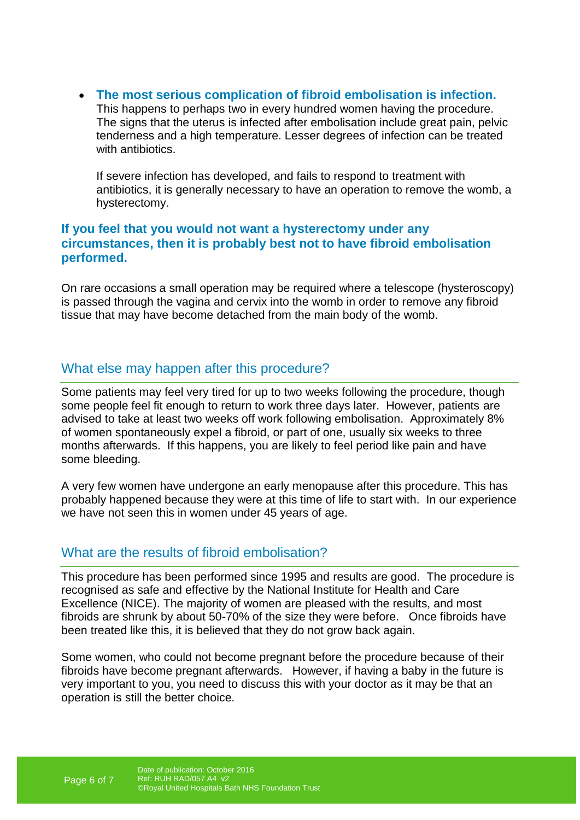**The most serious complication of fibroid embolisation is infection.**

This happens to perhaps two in every hundred women having the procedure. The signs that the uterus is infected after embolisation include great pain, pelvic tenderness and a high temperature. Lesser degrees of infection can be treated with antibiotics.

If severe infection has developed, and fails to respond to treatment with antibiotics, it is generally necessary to have an operation to remove the womb, a hysterectomy.

#### **If you feel that you would not want a hysterectomy under any circumstances, then it is probably best not to have fibroid embolisation performed.**

On rare occasions a small operation may be required where a telescope (hysteroscopy) is passed through the vagina and cervix into the womb in order to remove any fibroid tissue that may have become detached from the main body of the womb.

#### What else may happen after this procedure?

Some patients may feel very tired for up to two weeks following the procedure, though some people feel fit enough to return to work three days later. However, patients are advised to take at least two weeks off work following embolisation. Approximately 8% of women spontaneously expel a fibroid, or part of one, usually six weeks to three months afterwards. If this happens, you are likely to feel period like pain and have some bleeding.

A very few women have undergone an early menopause after this procedure. This has probably happened because they were at this time of life to start with. In our experience we have not seen this in women under 45 years of age.

#### What are the results of fibroid embolisation?

This procedure has been performed since 1995 and results are good. The procedure is recognised as safe and effective by the National Institute for Health and Care Excellence (NICE). The majority of women are pleased with the results, and most fibroids are shrunk by about 50-70% of the size they were before. Once fibroids have been treated like this, it is believed that they do not grow back again.

Some women, who could not become pregnant before the procedure because of their fibroids have become pregnant afterwards. However, if having a baby in the future is very important to you, you need to discuss this with your doctor as it may be that an operation is still the better choice.